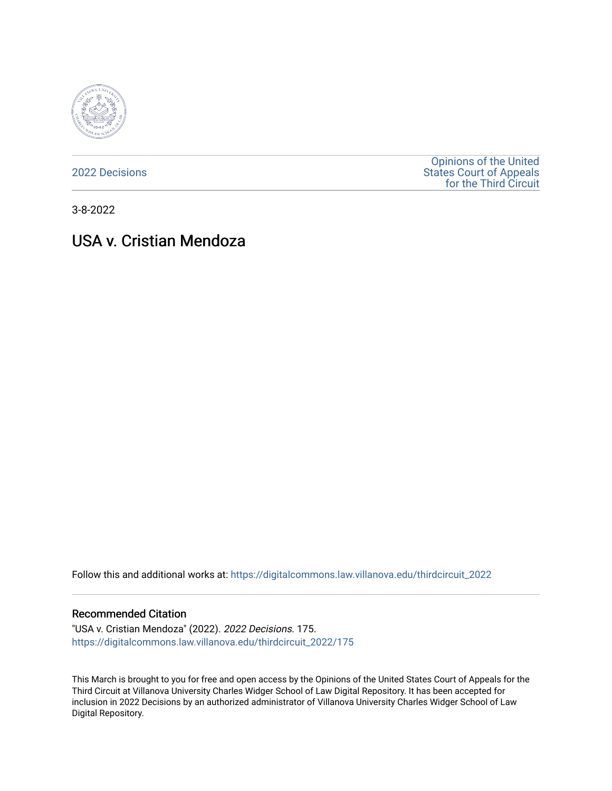

[2022 Decisions](https://digitalcommons.law.villanova.edu/thirdcircuit_2022)

[Opinions of the United](https://digitalcommons.law.villanova.edu/thirdcircuit)  [States Court of Appeals](https://digitalcommons.law.villanova.edu/thirdcircuit)  [for the Third Circuit](https://digitalcommons.law.villanova.edu/thirdcircuit) 

3-8-2022

# USA v. Cristian Mendoza

Follow this and additional works at: [https://digitalcommons.law.villanova.edu/thirdcircuit\\_2022](https://digitalcommons.law.villanova.edu/thirdcircuit_2022?utm_source=digitalcommons.law.villanova.edu%2Fthirdcircuit_2022%2F175&utm_medium=PDF&utm_campaign=PDFCoverPages) 

#### Recommended Citation

"USA v. Cristian Mendoza" (2022). 2022 Decisions. 175. [https://digitalcommons.law.villanova.edu/thirdcircuit\\_2022/175](https://digitalcommons.law.villanova.edu/thirdcircuit_2022/175?utm_source=digitalcommons.law.villanova.edu%2Fthirdcircuit_2022%2F175&utm_medium=PDF&utm_campaign=PDFCoverPages)

This March is brought to you for free and open access by the Opinions of the United States Court of Appeals for the Third Circuit at Villanova University Charles Widger School of Law Digital Repository. It has been accepted for inclusion in 2022 Decisions by an authorized administrator of Villanova University Charles Widger School of Law Digital Repository.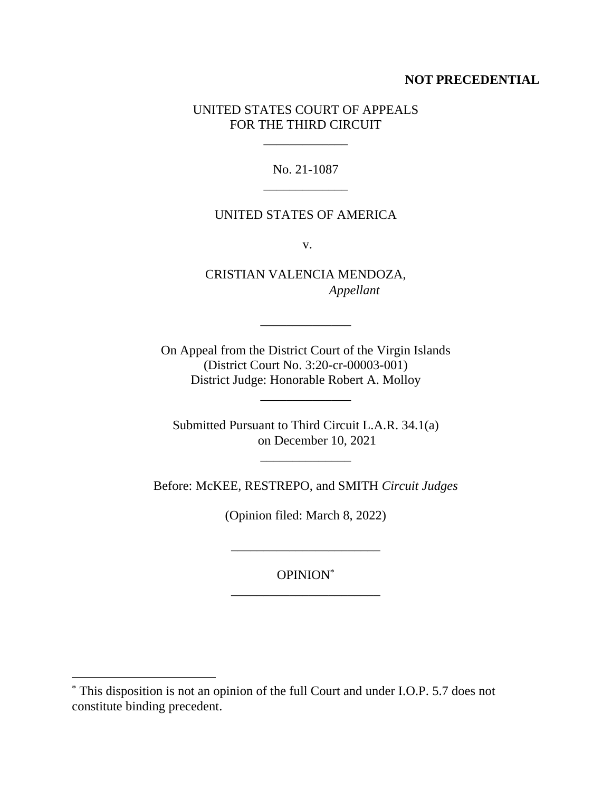## **NOT PRECEDENTIAL**

## UNITED STATES COURT OF APPEALS FOR THE THIRD CIRCUIT

\_\_\_\_\_\_\_\_\_\_\_\_\_

No. 21-1087 \_\_\_\_\_\_\_\_\_\_\_\_\_

### UNITED STATES OF AMERICA

v.

CRISTIAN VALENCIA MENDOZA, *Appellant*

\_\_\_\_\_\_\_\_\_\_\_\_\_\_

On Appeal from the District Court of the Virgin Islands (District Court No. 3:20-cr-00003-001) District Judge: Honorable Robert A. Molloy

\_\_\_\_\_\_\_\_\_\_\_\_\_\_

Submitted Pursuant to Third Circuit L.A.R. 34.1(a) on December 10, 2021

\_\_\_\_\_\_\_\_\_\_\_\_\_\_

Before: McKEE, RESTREPO, and SMITH *Circuit Judges*

(Opinion filed: March 8, 2022)

OPINION\* \_\_\_\_\_\_\_\_\_\_\_\_\_\_\_\_\_\_\_\_\_\_\_

\_\_\_\_\_\_\_\_\_\_\_\_\_\_\_\_\_\_\_\_\_\_\_

<sup>\*</sup> This disposition is not an opinion of the full Court and under I.O.P. 5.7 does not constitute binding precedent.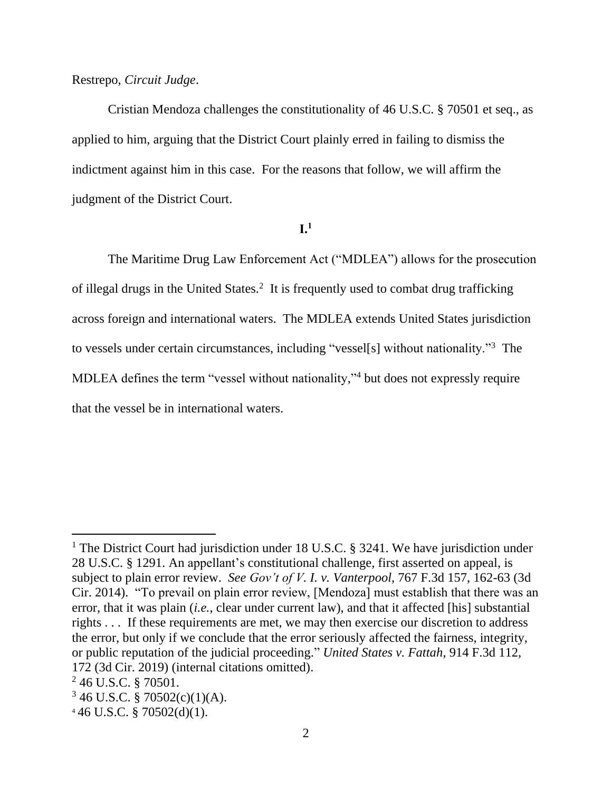## Restrepo, *Circuit Judge*.

Cristian Mendoza challenges the constitutionality of 46 U.S.C. § 70501 et seq., as applied to him, arguing that the District Court plainly erred in failing to dismiss the indictment against him in this case. For the reasons that follow, we will affirm the judgment of the District Court.

## **I.1**

The Maritime Drug Law Enforcement Act ("MDLEA") allows for the prosecution of illegal drugs in the United States.<sup>2</sup> It is frequently used to combat drug trafficking across foreign and international waters. The MDLEA extends United States jurisdiction to vessels under certain circumstances, including "vessel[s] without nationality."<sup>3</sup> The MDLEA defines the term "vessel without nationality," <sup>4</sup> but does not expressly require that the vessel be in international waters.

<sup>&</sup>lt;sup>1</sup> The District Court had jurisdiction under 18 U.S.C. § 3241. We have jurisdiction under 28 U.S.C. § 1291. An appellant's constitutional challenge, first asserted on appeal, is subject to plain error review. *See Gov't of V. I. v. Vanterpool*, 767 F.3d 157, 162-63 (3d Cir. 2014). "To prevail on plain error review, [Mendoza] must establish that there was an error, that it was plain (*i.e.*, clear under current law), and that it affected [his] substantial rights . . . If these requirements are met, we may then exercise our discretion to address the error, but only if we conclude that the error seriously affected the fairness, integrity, or public reputation of the judicial proceeding." *United States v. Fattah*, 914 F.3d 112, 172 (3d Cir. 2019) (internal citations omitted).

<sup>2</sup> 46 U.S.C. § 70501.

 $346$  U.S.C. § 70502(c)(1)(A).

 $446$  U.S.C. § 70502(d)(1).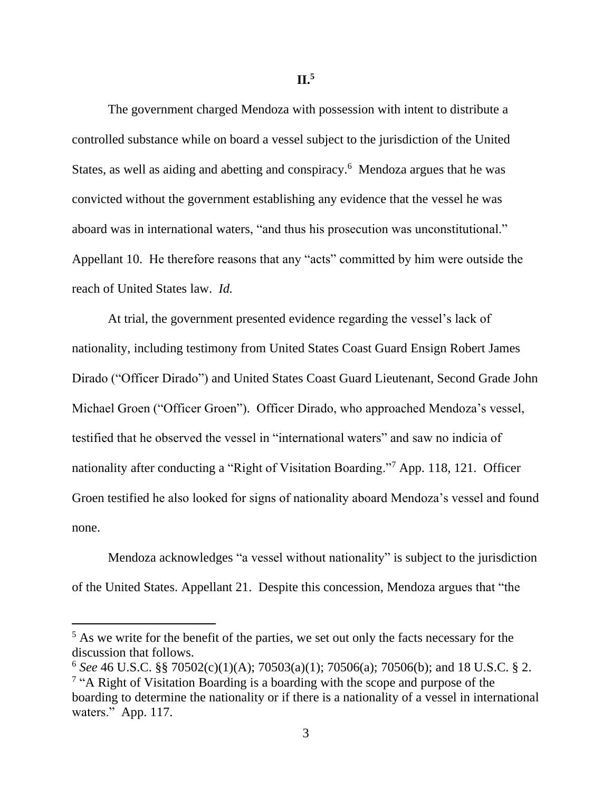**II.<sup>5</sup>**

The government charged Mendoza with possession with intent to distribute a controlled substance while on board a vessel subject to the jurisdiction of the United States, as well as aiding and abetting and conspiracy.<sup>6</sup> Mendoza argues that he was convicted without the government establishing any evidence that the vessel he was aboard was in international waters, "and thus his prosecution was unconstitutional." Appellant 10. He therefore reasons that any "acts" committed by him were outside the reach of United States law. *Id.*

At trial, the government presented evidence regarding the vessel's lack of nationality, including testimony from United States Coast Guard Ensign Robert James Dirado ("Officer Dirado") and United States Coast Guard Lieutenant, Second Grade John Michael Groen ("Officer Groen"). Officer Dirado, who approached Mendoza's vessel, testified that he observed the vessel in "international waters" and saw no indicia of nationality after conducting a "Right of Visitation Boarding."<sup>7</sup> App. 118, 121. Officer Groen testified he also looked for signs of nationality aboard Mendoza's vessel and found none.

Mendoza acknowledges "a vessel without nationality" is subject to the jurisdiction of the United States. Appellant 21. Despite this concession, Mendoza argues that "the

 $<sup>5</sup>$  As we write for the benefit of the parties, we set out only the facts necessary for the</sup> discussion that follows.

<sup>6</sup> *See* 46 U.S.C. §§ 70502(c)(1)(A); 70503(a)(1); 70506(a); 70506(b); and 18 U.S.C. § 2. <sup>7</sup> "A Right of Visitation Boarding is a boarding with the scope and purpose of the boarding to determine the nationality or if there is a nationality of a vessel in international waters." App. 117.